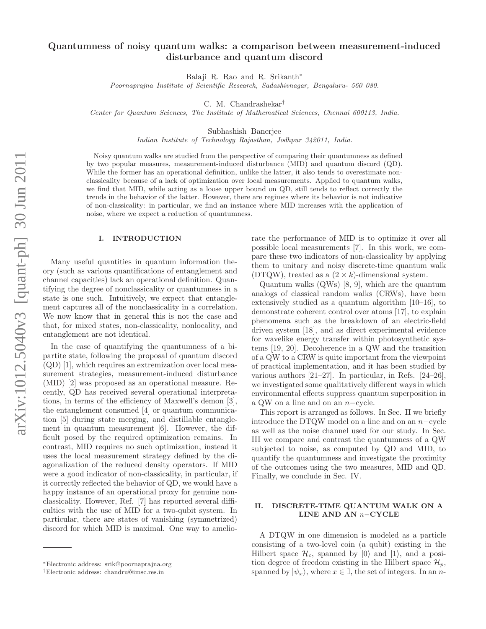# Quantumness of noisy quantum walks: a comparison between measurement-induced disturbance and quantum discord

Balaji R. Rao and R. Srikanth∗

Poornaprajna Institute of Scientific Research, Sadashivnagar, Bengaluru- 560 080.

C. M. Chandrashekar†

Center for Quantum Sciences, The Institute of Mathematical Sciences, Chennai 600113, India.

Subhashish Banerjee

Indian Institute of Technology Rajasthan, Jodhpur 342011, India.

Noisy quantum walks are studied from the perspective of comparing their quantumness as defined by two popular measures, measurement-induced disturbance (MID) and quantum discord (QD). While the former has an operational definition, unlike the latter, it also tends to overestimate nonclassicality because of a lack of optimization over local measurements. Applied to quantum walks, we find that MID, while acting as a loose upper bound on QD, still tends to reflect correctly the trends in the behavior of the latter. However, there are regimes where its behavior is not indicative of non-classicality: in particular, we find an instance where MID increases with the application of noise, where we expect a reduction of quantumness.

## I. INTRODUCTION

Many useful quantities in quantum information theory (such as various quantifications of entanglement and channel capacities) lack an operational definition. Quantifying the degree of nonclassicality or quantumness in a state is one such. Intuitively, we expect that entanglement captures all of the nonclassicality in a correlation. We now know that in general this is not the case and that, for mixed states, non-classicality, nonlocality, and entanglement are not identical.

In the case of quantifying the quantumness of a bipartite state, following the proposal of quantum discord (QD) [1], which requires an extremization over local measurement strategies, measurement-induced disturbance (MID) [2] was proposed as an operational measure. Recently, QD has received several operational interpretations, in terms of the efficiency of Maxwell's demon [3], the entanglement consumed [4] or quantum communication [5] during state merging, and distillable entanglement in quantum measurement [6]. However, the difficult posed by the required optimization remains. In contrast, MID requires no such optimization, instead it uses the local measurement strategy defined by the diagonalization of the reduced density operators. If MID were a good indicator of non-classicality, in particular, if it correctly reflected the behavior of QD, we would have a happy instance of an operational proxy for genuine nonclassicality. However, Ref. [7] has reported several difficulties with the use of MID for a two-qubit system. In particular, there are states of vanishing (symmetrized) discord for which MID is maximal. One way to ameliorate the performance of MID is to optimize it over all possible local measurements [7]. In this work, we compare these two indicators of non-classicality by applying them to unitary and noisy discrete-time quantum walk (DTQW), treated as a  $(2 \times k)$ -dimensional system.

Quantum walks (QWs) [8, 9], which are the quantum analogs of classical random walks (CRWs), have been extensively studied as a quantum algorithm [10–16], to demonstrate coherent control over atoms [17], to explain phenomena such as the breakdown of an electric-field driven system [18], and as direct experimental evidence for wavelike energy transfer within photosynthetic systems [19, 20]. Decoherence in a QW and the transition of a QW to a CRW is quite important from the viewpoint of practical implementation, and it has been studied by various authors [21–27]. In particular, in Refs. [24–26], we investigated some qualitatively different ways in which environmental effects suppress quantum superposition in a QW on a line and on an n−cycle.

This report is arranged as follows. In Sec. II we briefly introduce the DTQW model on a line and on an n−cycle as well as the noise channel used for our study. In Sec. III we compare and contrast the quantumness of a QW subjected to noise, as computed by QD and MID, to quantify the quantumness and investigate the proximity of the outcomes using the two measures, MID and QD. Finally, we conclude in Sec. IV.

## II. DISCRETE-TIME QUANTUM WALK ON A LINE AND AN <sup>n</sup>−CYCLE

A DTQW in one dimension is modeled as a particle consisting of a two-level coin (a qubit) existing in the Hilbert space  $\mathcal{H}_c$ , spanned by  $|0\rangle$  and  $|1\rangle$ , and a position degree of freedom existing in the Hilbert space  $\mathcal{H}_p$ , spanned by  $|\psi_x\rangle$ , where  $x \in \mathbb{I}$ , the set of integers. In an n-

<sup>∗</sup>Electronic address: srik@poornaprajna.org

<sup>†</sup>Electronic address: chandru@imsc.res.in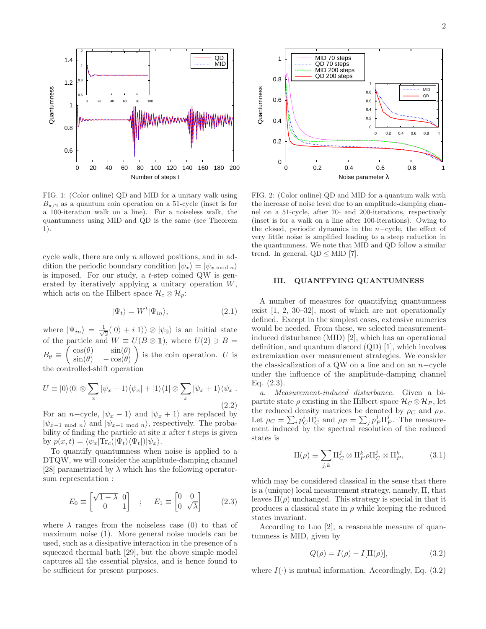

FIG. 1: (Color online) QD and MID for a unitary walk using  $B_{\pi/2}$  as a quantum coin operation on a 51-cycle (inset is for a 100-iteration walk on a line). For a noiseless walk, the quantumness using MID and QD is the same (see Theorem 1).

cycle walk, there are only n allowed positions, and in addition the periodic boundary condition  $|\psi_x\rangle = |\psi_{x \mod n}\rangle$ is imposed. For our study, a t-step coined QW is generated by iteratively applying a unitary operation W, which acts on the Hilbert space  $\mathcal{H}_c \otimes \mathcal{H}_n$ :

$$
|\Psi_t\rangle = W^t |\Psi_{in}\rangle, \tag{2.1}
$$

where  $|\Psi_{in}\rangle = \frac{1}{\sqrt{2}}$  $\frac{1}{2}(|0\rangle + i|1\rangle) \otimes |\psi_0\rangle$  is an initial state of the particle and  $W \equiv U(B \otimes \mathbb{1})$ , where  $U(2) \ni B =$  $B_{\theta} \equiv \begin{pmatrix} \cos(\theta) & \sin(\theta) \\ \sin(\theta) & -\cos(\theta) \end{pmatrix}$  $\sin(\theta) - \cos(\theta)$ is the coin operation. U is the controlled-shift operation

$$
U \equiv |0\rangle\langle 0| \otimes \sum_{x} |\psi_{x} - 1\rangle\langle \psi_{x}| + |1\rangle\langle 1| \otimes \sum_{x} |\psi_{x} + 1\rangle\langle \psi_{x}|.
$$
\n(2.2)

For an *n*−cycle,  $|\psi_x - 1\rangle$  and  $|\psi_x + 1\rangle$  are replaced by  $|\psi_{x-1} \rangle$  and  $|\psi_{x+1} \rangle$  mod n, respectively. The probability of finding the particle at site  $x$  after  $t$  steps is given by  $p(x,t) = \langle \psi_x | \text{Tr}_c(|\Psi_t\rangle \langle \Psi_t|) | \psi_x \rangle.$ 

To quantify quantumness when noise is applied to a DTQW, we will consider the amplitude-damping channel [28] parametrized by  $\lambda$  which has the following operatorsum representation :

$$
E_0 \equiv \begin{bmatrix} \sqrt{1-\lambda} & 0\\ 0 & 1 \end{bmatrix} \quad ; \quad E_1 \equiv \begin{bmatrix} 0 & 0\\ 0 & \sqrt{\lambda} \end{bmatrix} \tag{2.3}
$$

where  $\lambda$  ranges from the noiseless case (0) to that of maximum noise (1). More general noise models can be used, such as a dissipative interaction in the presence of a squeezed thermal bath [29], but the above simple model captures all the essential physics, and is hence found to be sufficient for present purposes.



FIG. 2: (Color online) QD and MID for a quantum walk with the increase of noise level due to an amplitude-damping channel on a 51-cycle, after 70- and 200-iterations, respectively (inset is for a walk on a line after 100-iterations). Owing to the closed, periodic dynamics in the  $n$ -cycle, the effect of very little noise is amplified leading to a steep reduction in the quantumness. We note that MID and QD follow a similar trend. In general,  $QD \leq MID$  [7].

### III. QUANTFYING QUANTUMNESS

A number of measures for quantifying quantumness exist [1, 2, 30–32], most of which are not operationally defined. Except in the simplest cases, extensive numerics would be needed. From these, we selected measurementinduced disturbance (MID) [2], which has an operational definition, and quantum discord (QD) [1], which involves extremization over measurement strategies. We consider the classicalization of a QW on a line and on an n−cycle under the influence of the amplitude-damping channel Eq. (2.3).

a. Measurement-induced disturbance. Given a bipartite state  $\rho$  existing in the Hilbert space  $\mathcal{H}_C \otimes \mathcal{H}_P$ , let the reduced density matrices be denoted by  $\rho_C$  and  $\rho_P$ . Let  $\rho_C = \sum_i p_C^i \Pi_C^i$  and  $\rho_P = \sum_j p_P^j \Pi_P^j$ . The measurement induced by the spectral resolution of the reduced states is

$$
\Pi(\rho) \equiv \sum_{j,k} \Pi_C^j \otimes \Pi_P^k \rho \Pi_C^j \otimes \Pi_P^k, \tag{3.1}
$$

which may be considered classical in the sense that there is a (unique) local measurement strategy, namely, Π, that leaves  $\Pi(\rho)$  unchanged. This strategy is special in that it produces a classical state in  $\rho$  while keeping the reduced states invariant.

According to Luo [2], a reasonable measure of quantumness is MID, given by

$$
Q(\rho) = I(\rho) - I[\Pi(\rho)], \qquad (3.2)
$$

where  $I(\cdot)$  is mutual information. Accordingly, Eq. (3.2)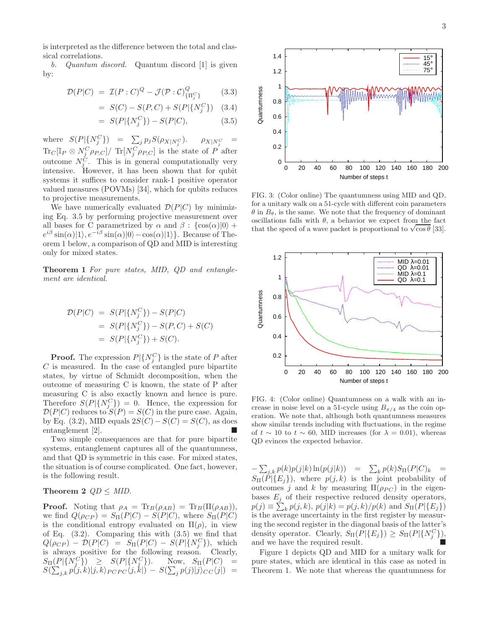is interpreted as the difference between the total and classical correlations.

b. Quantum discord. Quantum discord [1] is given by:

$$
\mathcal{D}(P|C) = \mathcal{I}(P:C)^{Q} - \mathcal{J}(\mathcal{P}:C)^{Q}_{\{\Pi_{j}^{C}\}} \qquad (3.3)
$$

$$
= S(C) - S(P, C) + S(P | \{N_j^C\}) \quad (3.4)
$$

$$
= S(P|\{N_j^C\}) - S(P|C), \tag{3.5}
$$

where  $S(P|\{N_j^C\}) = \sum_j p_j S(\rho_{X|N_j^C})$ .  $\rho_{X|N_j^C} =$  $\text{Tr}_C[\mathbb{I}_P \otimes N_{\underline{j}}^C \rho_{P,C}] / \text{Tr}[N_j^C \rho_{P,C}]$  is the state of  $P$  after outcome  $N_j^C$ . This is in general computationally very intensive. However, it has been shown that for qubit systems it suffices to consider rank-1 positive operator valued measures (POVMs) [34], which for qubits reduces to projective measurements.

We have numerically evaluated  $\mathcal{D}(P|C)$  by minimizing Eq. 3.5 by performing projective measurement over all bases for C parametrized by  $\alpha$  and  $\beta$  :  $\{\cos(\alpha)|0\rangle +$  $e^{i\beta} \sin(\alpha)|1\rangle, e^{-i\beta} \sin(\alpha)|0\rangle - \cos(\alpha)|1\rangle.$  Because of Theorem 1 below, a comparison of QD and MID is interesting only for mixed states.

Theorem 1 For pure states, MID, QD and entanglement are identical.

$$
\mathcal{D}(P|C) = S(P|\{N_j^C\}) - S(P|C) \n= S(P|\{N_j^C\}) - S(P,C) + S(C) \n= S(P|\{N_j^C\}) + S(C).
$$

**Proof.** The expression  $P\vert \{N_j^C\}$  is the state of P after C is measured. In the case of entangled pure bipartite states, by virtue of Schmidt decomposition, when the outcome of measuring C is known, the state of P after measuring C is also exactly known and hence is pure. Therefore  $S(P|\{N_j^C\}) = 0$ . Hence, the expression for  $\mathcal{D}(P|C)$  reduces to  $S(P) = S(C)$  in the pure case. Again, by Eq. (3.2), MID equals  $2S(C) - S(C) = S(C)$ , as does entanglement [2].

Two simple consequences are that for pure bipartite systems, entanglement captures all of the quantumness, and that QD is symmetric in this case. For mixed states, the situation is of course complicated. One fact, however, is the following result.

## Theorem 2  $QD \leq MID$ .

**Proof.** Noting that  $\rho_A = \text{Tr}_B(\rho_{AB}) = \text{Tr}_B(\Pi(\rho_{AB})),$ we find  $Q(\rho_{CP}) = S_{\Pi}(P|C) - S(P|C)$ , where  $S_{\Pi}(P|C)$ is the conditional entropy evaluated on  $\Pi(\rho)$ , in view of Eq. (3.2). Comparing this with (3.5) we find that  $Q(\rho_{CP}) - \mathcal{D}(P|C) = S_{\Pi}(P|C) - S(P|\{N_j^C\}),$  which is always positive for the following reason. Clearly,  $S_{\Pi}(P|\{N_j^C\}) \geq S(P|\{N_j^C\})$ . Now,  $S_{\Pi}(P|C) =$  $S(\sum_{j,k} p(j,k)|j,k\rangle_{PC\,PC} \langle j,k|) - S(\sum_j p(j)|j\rangle_{CC}\langle j|)$  =



FIG. 3: (Color online) The quantumness using MID and QD, for a unitary walk on a 51-cycle with different coin parameters  $\theta$  in  $B_{\theta}$ , is the same. We note that the frequency of dominant oscillations falls with  $\theta$ , a behavior we expect from the fact that the speed of a wave packet is proportional to  $\sqrt{\cos \theta}$  [33].



FIG. 4: (Color online) Quantumness on a walk with an increase in noise level on a 51-cycle using  $B_{\pi/4}$  as the coin operation. We note that, although both quantumness measures show similar trends including with fluctuations, in the regime of  $t \sim 10$  to  $t \sim 60$ , MID increases (for  $\lambda = 0.01$ ), whereas QD evinces the expected behavior.

 $-\sum_{j,k} p(k)p(j|k)\ln(p(j|k)) = \sum_k p(k)S_{\Pi}(P|C)_k =$  $S_{\Pi}(P|\{E_i\})$ , where  $p(j,k)$  is the joint probability of outcomes j and k by measuring  $\Pi(\rho_{PC})$  in the eigenbases  $E_j$  of their respective reduced density operators,  $p(j) \equiv \sum_{k} p(j, k), p(j|k) = p(j, k)/p(k)$  and  $S_{\Pi}(P | \{E_j\})$ is the average uncertainty in the first register by measuring the second register in the diagonal basis of the latter's density operator. Clearly,  $S_{\Pi}(P|\{E_j\}) \geq S_{\Pi}(P|\{N_j^C\})$ , and we have the required result.

Figure 1 depicts QD and MID for a unitary walk for pure states, which are identical in this case as noted in Theorem 1. We note that whereas the quantumness for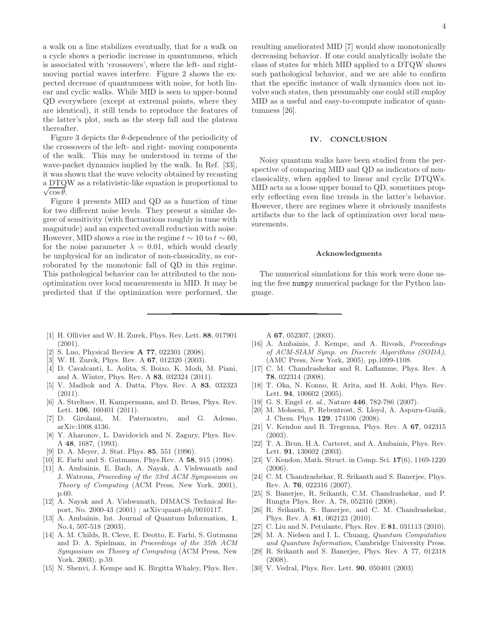a walk on a line stabilizes eventually, that for a walk on a cycle shows a periodic increase in quantumness, which is associated with 'crossovers', where the left- and rightmoving partial waves interfere. Figure 2 shows the expected decrease of quantumness with noise, for both linear and cyclic walks. While MID is seen to upper-bound QD everywhere (except at extremal points, where they are identical), it still tends to reproduce the features of the latter's plot, such as the steep fall and the plateau thereafter.

Figure 3 depicts the  $\theta$ -dependence of the periodicity of the crossovers of the left- and right- moving components of the walk. This may be understood in terms of the wave-packet dynamics implied by the walk. In Ref. [33], it was shown that the wave velocity obtained by recasting a DTQW as a relativistic-like equation is proportional to  $\sqrt{\cos \theta}$ .

Figure 4 presents MID and QD as a function of time for two different noise levels. They present a similar degree of sensitivity (with fluctuations roughly in tune with magnitude) and an expected overall reduction with noise. However, MID shows a *rise* in the regime  $t \sim 10$  to  $t \sim 60$ , for the noise parameter  $\lambda = 0.01$ , which would clearly be unphysical for an indicator of non-classicality, as corroborated by the monotonic fall of QD in this regime. This pathological behavior can be attributed to the nonoptimization over local measurements in MID. It may be predicted that if the optimization were performed, the resulting ameliorated MID [7] would show monotonically decreasing behavior. If one could analytically isolate the class of states for which MID applied to a DTQW shows such pathological behavior, and we are able to confirm that the specific instance of walk dynamics does not involve such states, then presumably one could still employ MID as a useful and easy-to-compute indicator of quantumness [26].

#### IV. CONCLUSION

Noisy quantum walks have been studied from the perspective of comparing MID and QD as indicators of nonclassicality, when applied to linear and cyclic DTQWs. MID acts as a loose upper bound to QD, sometimes properly reflecting even fine trends in the latter's behavior. However, there are regimes where it obviously manifests artifacts due to the lack of optimization over local measurements.

#### Acknowledgments

The numerical simulations for this work were done using the free numpy numerical package for the Python language.

- [1] H. Ollivier and W. H. Zurek, Phys. Rev. Lett. 88, 017901 (2001).
- [2] S. Luo, Physical Review A 77, 022301 (2008).
- [3] W. H. Zurek, Phys. Rev. A 67, 012320 (2003).
- [4] D. Cavalcanti, L. Aolita, S. Boixo, K. Modi, M. Piani, and A. Winter, Phys. Rev. A 83, 032324 (2011).
- [5] V. Madhok and A. Datta, Phys. Rev. A 83, 032323 (2011).
- [6] A. Streltsov, H. Kampermann, and D. Bruss, Phys. Rev. Lett. **106**, 160401 (2011).
- [7] D. Girolami, M. Paternostro, and G. Adesso, arXiv:1008.4136.
- [8] Y. Aharonov, L. Davidovich and N. Zagury, Phys. Rev. A 48, 1687, (1993).
- [9] D. A. Meyer, J. Stat. Phys. 85, 551 (1996).
- [10] E. Farhi and S. Gutmann, Phys.Rev. A 58, 915 (1998).
- [11] A. Ambainis, E. Bach, A. Nayak, A. Vishwanath and J. Watrous, Proceeding of the 33rd ACM Symposium on Theory of Computing (ACM Press, New York, 2001), p.60.
- [12] A. Nayak and A. Vishwanath, DIMACS Technical Report, No. 2000-43 (2001) ; arXiv:quant-ph/0010117.
- [13] A. Ambainis, Int. Journal of Quantum Information, 1, No.4, 507-518 (2003).
- [14] A. M. Childs, R. Cleve, E. Deotto, E. Farhi, S. Gutmann and D. A. Spielman, in Proceedings of the 35th ACM Symposium on Theory of Computing (ACM Press, New York, 2003), p.59.
- [15] N. Shenvi, J. Kempe and K. Birgitta Whaley, Phys. Rev.

A 67, 052307, (2003).

- [16] A. Ambainis, J. Kempe, and A. Rivosh, *Proceedings* of ACM-SIAM Symp. on Discrete Algorithms (SODA), (AMC Press, New York, 2005), pp.1099-1108.
- [17] C. M. Chandrashekar and R. Laflamme, Phys. Rev. A 78, 022314 (2008).
- [18] T. Oka, N. Konno, R. Arita, and H. Aoki, Phys. Rev. Lett. **94**, 100602 (2005).
- [19] G. S. Engel et. al., Nature **446**, 782-786 (2007).
- [20] M. Mohseni, P. Rebentrost, S. Lloyd, A. Aspuru-Guzik, J. Chem. Phys. 129, 174106 (2008).
- [21] V. Kendon and B. Tregenna, Phys. Rev. A 67, 042315 (2003).
- [22] T. A. Brun, H.A. Carteret, and A. Ambainis, Phys. Rev. Lett. **91**, 130602 (2003).
- [23] V. Kendon, Math. Struct. in Comp. Sci. 17(6), 1169-1220 (2006).
- [24] C. M. Chandrashekar, R. Srikanth and S. Banerjee, Phys. Rev. A. 76, 022316 (2007).
- [25] S. Banerjee, R. Srikanth, C.M. Chandrashekar, and P. Rungta Phys. Rev. A, 78, 052316 (2008).
- [26] R. Srikanth, S. Banerjee, and C. M. Chandrashekar, Phys. Rev. A. 81, 062123 (2010).
- [27] C. Liu and N. Petulante, Phys. Rev. E 81, 031113 (2010).
- [28] M. A. Nielsen and I. L. Chuang, Quantum Computation and Quantum Information, Cambridge University Press.
- [29] R. Srikanth and S. Banerjee, Phys. Rev. A 77, 012318 (2008).
- [30] V. Vedral, Phys. Rev. Lett. 90, 050401 (2003)